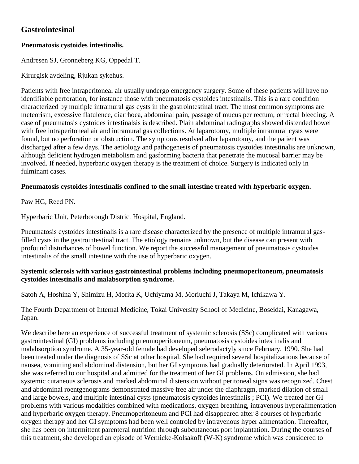# **Gastrointesinal**

## **Pneumatosis cystoides intestinalis.**

Andresen SJ, Gronneberg KG, Oppedal T.

Kirurgisk avdeling, Rjukan sykehus.

Patients with free intraperitoneal air usually undergo emergency surgery. Some of these patients will have no identifiable perforation, for instance those with pneumatosis cystoides intestinalis. This is a rare condition characterized by multiple intramural gas cysts in the gastrointestinal tract. The most common symptoms are meteorism, excessive flatulence, diarrhoea, abdominal pain, passage of mucus per rectum, or rectal bleeding. A case of pneumatosis cystoides intestinalsis is described. Plain abdominal radiographs showed distended bowel with free intraperitoneal air and intramural gas collections. At laparotomy, multiple intramural cysts were found, but no perforation or obstruction. The symptoms resolved after laparotomy, and the patient was discharged after a few days. The aetiology and pathogenesis of pneumatosis cystoides intestinalis are unknown, although deficient hydrogen metabolism and gasforming bacteria that penetrate the mucosal barrier may be involved. If needed, hyperbaric oxygen therapy is the treatment of choice. Surgery is indicated only in fulminant cases.

## **Pneumatosis cystoides intestinalis confined to the small intestine treated with hyperbaric oxygen.**

Paw HG, Reed PN.

Hyperbaric Unit, Peterborough District Hospital, England.

Pneumatosis cystoides intestinalis is a rare disease characterized by the presence of multiple intramural gasfilled cysts in the gastrointestinal tract. The etiology remains unknown, but the disease can present with profound disturbances of bowel function. We report the successful management of pneumatosis cystoides intestinalis of the small intestine with the use of hyperbaric oxygen.

#### **Systemic sclerosis with various gastrointestinal problems including pneumoperitoneum, pneumatosis cystoides intestinalis and malabsorption syndrome.**

Satoh A, Hoshina Y, Shimizu H, Morita K, Uchiyama M, Moriuchi J, Takaya M, Ichikawa Y.

The Fourth Department of Internal Medicine, Tokai University School of Medicine, Boseidai, Kanagawa, Japan.

We describe here an experience of successful treatment of systemic sclerosis (SSc) complicated with various gastrointestinal (GI) problems including pneumoperitoneum, pneumatosis cystoides intestinalis and malabsorption syndrome. A 35-year-old female had developed selerodactyly since February, 1990. She had been treated under the diagnosis of SSc at other hospital. She had required several hospitalizations because of nausea, vomitting and abdominal distension, but her GI symptoms had gradually deteriorated. In April 1993, she was referred to our hospital and admitted for the treatment of her GI problems. On admission, she had systemic cutaneous sclerosis and marked abdominal distension without peritoneal signs was recognized. Chest and abdominal roentgenograms demonstrated massive free air under the diaphragm, marked dilation of small and large bowels, and multiple intestinal cysts (pneumatosis cystoides intestinalis ; PCI). We treated her GI problems with various modalities combined with medications, oxygen breathing, intravenous hyperalimentation and hyperbaric oxygen therapy. Pneumoperitoneum and PCI had disappeared after 8 courses of hyperbaric oxygen therapy and her GI symptoms had been well controled by intravenous hyper alimentation. Thereafter, she has been on intermittent parenteral nutrition through subcutaneous port inplantation. During the courses of this treatment, she developed an episode of Wernicke-Kolsakoff (W-K) syndrome which was considered to